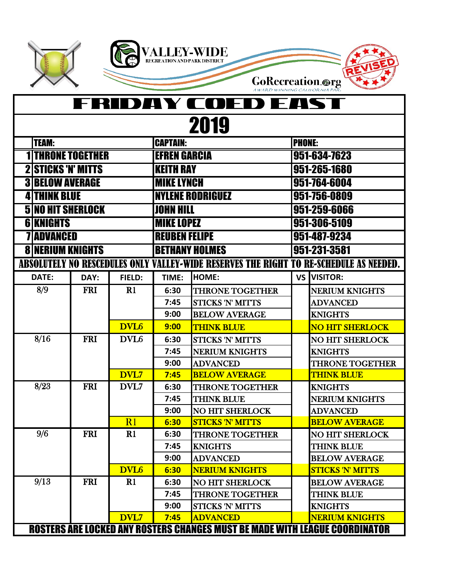

 $\mathbf \Gamma$ 

| 2019                                                                        |            |                  |                         |                                                                                        |               |                         |  |  |  |  |
|-----------------------------------------------------------------------------|------------|------------------|-------------------------|----------------------------------------------------------------------------------------|---------------|-------------------------|--|--|--|--|
| <b>TEAM:</b>                                                                |            |                  | <b>CAPTAIN:</b>         |                                                                                        | <b>PHONE:</b> |                         |  |  |  |  |
| <b>1 THRONE TOGETHER</b>                                                    |            |                  | <b>EFREN GARCIA</b>     |                                                                                        | 951-634-7623  |                         |  |  |  |  |
| <b>2 STICKS 'N' MITTS</b>                                                   |            |                  | <b>KEITH RAY</b>        |                                                                                        | 951-265-1680  |                         |  |  |  |  |
| <b>3 BELOW AVERAGE</b>                                                      |            |                  | <b>MIKE LYNCH</b>       |                                                                                        | 951-764-6004  |                         |  |  |  |  |
| <b>4 THINK BLUE</b>                                                         |            |                  | <b>NYLENE RODRIGUEZ</b> |                                                                                        | 951-756-0809  |                         |  |  |  |  |
| <b>5 NO HIT SHERLOCK</b>                                                    |            |                  | <b>JOHN HILL</b>        |                                                                                        | 951-259-6066  |                         |  |  |  |  |
| <b>GIKNIGHTS</b>                                                            |            |                  | <b>MIKE LOPEZ</b>       |                                                                                        | 951-306-5109  |                         |  |  |  |  |
| <b>7 ADVANCED</b>                                                           |            |                  | <b>REUBEN FELIPE</b>    |                                                                                        | 951-487-9234  |                         |  |  |  |  |
|                                                                             |            |                  | <b>BETHANY HOLMES</b>   |                                                                                        | 951-231-3581  |                         |  |  |  |  |
| <b>8 NERIUM KNIGHTS</b>                                                     |            |                  |                         |                                                                                        |               |                         |  |  |  |  |
|                                                                             |            |                  |                         | ABSOLUTELY NO RESCEDULES ONLY VALLEY-WIDE RESERVES THE RIGHT TO RE-SCHEDULE AS NEEDED. |               |                         |  |  |  |  |
| DATE:                                                                       | DAY:       | FIELD:           | TIME:                   | <b>HOME:</b>                                                                           | <b>VS</b>     | <b>VISITOR:</b>         |  |  |  |  |
| 8/9                                                                         | <b>FRI</b> | R1               | 6:30                    | <b>THRONE TOGETHER</b>                                                                 |               | <b>NERIUM KNIGHTS</b>   |  |  |  |  |
|                                                                             |            |                  | 7:45                    | <b>STICKS 'N' MITTS</b>                                                                |               | <b>ADVANCED</b>         |  |  |  |  |
|                                                                             |            |                  | 9:00                    | <b>BELOW AVERAGE</b>                                                                   |               | <b>KNIGHTS</b>          |  |  |  |  |
|                                                                             |            | DVL <sub>6</sub> | 9:00                    | <b>THINK BLUE</b>                                                                      |               | <b>NO HIT SHERLOCK</b>  |  |  |  |  |
| 8/16                                                                        | <b>FRI</b> | DVL <sub>6</sub> | 6:30                    | <b>STICKS 'N' MITTS</b>                                                                |               | <b>NO HIT SHERLOCK</b>  |  |  |  |  |
|                                                                             |            |                  | 7:45                    | <b>NERIUM KNIGHTS</b>                                                                  |               | <b>KNIGHTS</b>          |  |  |  |  |
|                                                                             |            |                  | 9:00                    | <b>ADVANCED</b>                                                                        |               | <b>THRONE TOGETHER</b>  |  |  |  |  |
|                                                                             |            | DVL7             | 7:45                    | <b>BELOW AVERAGE</b>                                                                   |               | <b>THINK BLUE</b>       |  |  |  |  |
| 8/23                                                                        | <b>FRI</b> | DVL7             | 6:30                    | <b>THRONE TOGETHER</b>                                                                 |               | <b>KNIGHTS</b>          |  |  |  |  |
|                                                                             |            |                  | 7:45                    | <b>THINK BLUE</b>                                                                      |               | <b>NERIUM KNIGHTS</b>   |  |  |  |  |
|                                                                             |            |                  | 9:00                    | <b>NO HIT SHERLOCK</b>                                                                 |               | <b>ADVANCED</b>         |  |  |  |  |
|                                                                             |            | R1               | 6:30                    | <b>STICKS 'N' MITTS</b>                                                                |               | <b>BELOW AVERAGE</b>    |  |  |  |  |
| 9/6                                                                         | <b>FRI</b> | R1               | 6:30                    | <b>THRONE TOGETHER</b>                                                                 |               | <b>NO HIT SHERLOCK</b>  |  |  |  |  |
|                                                                             |            |                  | 7:45                    | <b>KNIGHTS</b>                                                                         |               | <b>THINK BLUE</b>       |  |  |  |  |
|                                                                             |            |                  | 9:00                    | <b>ADVANCED</b>                                                                        |               | <b>BELOW AVERAGE</b>    |  |  |  |  |
|                                                                             |            | DVL6             | 6:30                    | <b>NERIUM KNIGHTS</b>                                                                  |               | <b>STICKS 'N' MITTS</b> |  |  |  |  |
| 9/13                                                                        | <b>FRI</b> | R1               | 6:30                    | <b>NO HIT SHERLOCK</b>                                                                 |               | <b>BELOW AVERAGE</b>    |  |  |  |  |
|                                                                             |            |                  | 7:45                    | <b>THRONE TOGETHER</b>                                                                 |               | <b>THINK BLUE</b>       |  |  |  |  |
|                                                                             |            |                  | 9:00                    | <b>STICKS 'N' MITTS</b>                                                                |               | <b>KNIGHTS</b>          |  |  |  |  |
|                                                                             |            | DVL7             | 7:45                    | <b>ADVANCED</b>                                                                        |               | <b>NERIUM KNIGHTS</b>   |  |  |  |  |
| ROSTERS ARE LOCKED ANY ROSTERS CHANGES MUST BE MADE WITH LEAGUE COORDINATOR |            |                  |                         |                                                                                        |               |                         |  |  |  |  |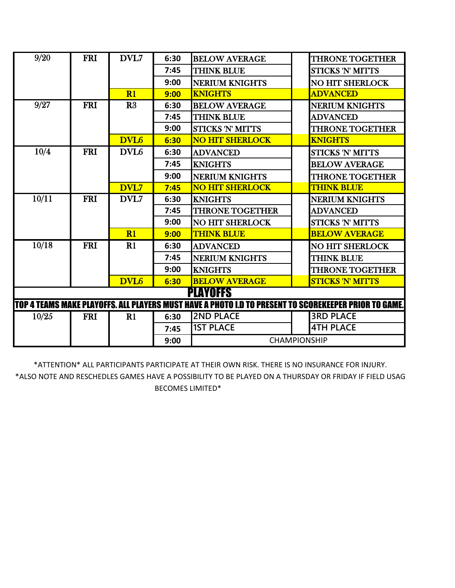| 9/20                                                                                                  | <b>FRI</b> | DVL7             | 6:30 | <b>BELOW AVERAGE</b>    |  | <b>THRONE TOGETHER</b>  |  |  |  |
|-------------------------------------------------------------------------------------------------------|------------|------------------|------|-------------------------|--|-------------------------|--|--|--|
|                                                                                                       |            |                  | 7:45 | <b>THINK BLUE</b>       |  | <b>STICKS 'N' MITTS</b> |  |  |  |
|                                                                                                       |            |                  | 9:00 | <b>NERIUM KNIGHTS</b>   |  | <b>NO HIT SHERLOCK</b>  |  |  |  |
|                                                                                                       |            | R1               | 9:00 | <b>KNIGHTS</b>          |  | <b>ADVANCED</b>         |  |  |  |
| 9/27                                                                                                  | <b>FRI</b> | R3               | 6:30 | <b>BELOW AVERAGE</b>    |  | <b>NERIUM KNIGHTS</b>   |  |  |  |
|                                                                                                       |            |                  | 7:45 | <b>THINK BLUE</b>       |  | <b>ADVANCED</b>         |  |  |  |
|                                                                                                       |            |                  | 9:00 | <b>STICKS 'N' MITTS</b> |  | <b>THRONE TOGETHER</b>  |  |  |  |
|                                                                                                       |            | DVL <sub>6</sub> | 6:30 | <b>NO HIT SHERLOCK</b>  |  | <b>KNIGHTS</b>          |  |  |  |
| 10/4                                                                                                  | <b>FRI</b> | DVL <sub>6</sub> | 6:30 | <b>ADVANCED</b>         |  | <b>STICKS 'N' MITTS</b> |  |  |  |
|                                                                                                       |            |                  | 7:45 | <b>KNIGHTS</b>          |  | <b>BELOW AVERAGE</b>    |  |  |  |
|                                                                                                       |            |                  | 9:00 | <b>NERIUM KNIGHTS</b>   |  | <b>THRONE TOGETHER</b>  |  |  |  |
|                                                                                                       |            | DVL7             | 7:45 | <b>NO HIT SHERLOCK</b>  |  | <b>THINK BLUE</b>       |  |  |  |
| 10/11                                                                                                 | <b>FRI</b> | DVL7             | 6:30 | <b>KNIGHTS</b>          |  | <b>NERIUM KNIGHTS</b>   |  |  |  |
|                                                                                                       |            |                  | 7:45 | <b>THRONE TOGETHER</b>  |  | <b>ADVANCED</b>         |  |  |  |
|                                                                                                       |            |                  | 9:00 | <b>NO HIT SHERLOCK</b>  |  | <b>STICKS 'N' MITTS</b> |  |  |  |
|                                                                                                       |            | R1               | 9:00 | <b>THINK BLUE</b>       |  | <b>BELOW AVERAGE</b>    |  |  |  |
| 10/18                                                                                                 | <b>FRI</b> | R1               | 6:30 | <b>ADVANCED</b>         |  | <b>NO HIT SHERLOCK</b>  |  |  |  |
|                                                                                                       |            |                  | 7:45 | <b>NERIUM KNIGHTS</b>   |  | <b>THINK BLUE</b>       |  |  |  |
|                                                                                                       |            |                  | 9:00 | <b>KNIGHTS</b>          |  | <b>THRONE TOGETHER</b>  |  |  |  |
|                                                                                                       |            | DVL <sub>6</sub> | 6:30 | <b>BELOW AVERAGE</b>    |  | <b>STICKS 'N' MITTS</b> |  |  |  |
| <b>PLAYOFFS</b>                                                                                       |            |                  |      |                         |  |                         |  |  |  |
| TOP 4 TEAMS MAKE PLAYOFFS. ALL PLAYERS MUST HAVE A PHOTO I.D TO PRESENT TO SCOREKEEPER PRIOR TO GAME. |            |                  |      |                         |  |                         |  |  |  |
| 10/25                                                                                                 | <b>FRI</b> | R1               | 6:30 | <b>2ND PLACE</b>        |  | <b>3RD PLACE</b>        |  |  |  |
|                                                                                                       |            |                  | 7:45 | <b>1ST PLACE</b>        |  | <b>4TH PLACE</b>        |  |  |  |
|                                                                                                       |            |                  | 9:00 | <b>CHAMPIONSHIP</b>     |  |                         |  |  |  |
|                                                                                                       |            |                  |      |                         |  |                         |  |  |  |

\*ATTENTION\* ALL PARTICIPANTS PARTICIPATE AT THEIR OWN RISK. THERE IS NO INSURANCE FOR INJURY.

\*ALSO NOTE AND RESCHEDLES GAMES HAVE A POSSIBILITY TO BE PLAYED ON A THURSDAY OR FRIDAY IF FIELD USAGE BECOMES LIMITED\*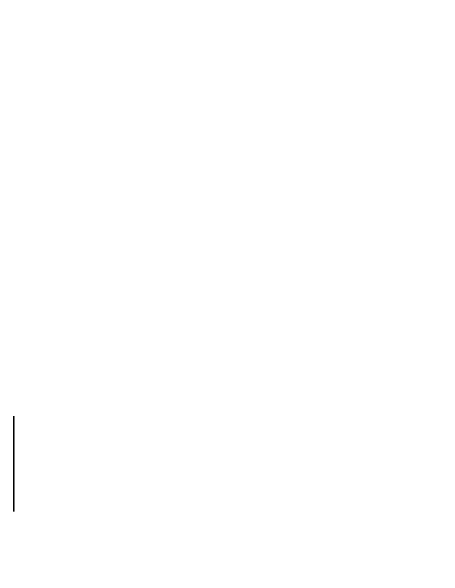$\overline{\phantom{a}}$